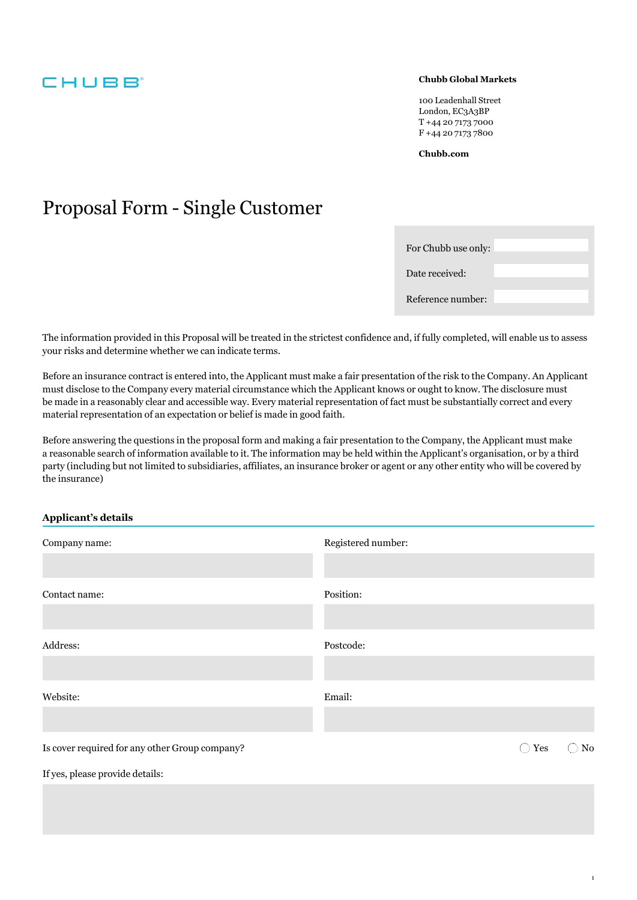### **CHUBB**

#### **Chubb Global Markets**

100 Leadenhall Street London, EC3A3BP T +44 20 7173 7000 F +44 20 7173 7800

**[Chubb.com](https://Chubb.com)** 

## Proposal Form - Single Customer

| For Chubb use only: |  |
|---------------------|--|
| Date received:      |  |
| Reference number:   |  |

The information provided in this Proposal will be treated in the strictest confidence and, if fully completed, will enable us to assess your risks and determine whether we can indicate terms.

Before an insurance contract is entered into, the Applicant must make a fair presentation of the risk to the Company. An Applicant must disclose to the Company every material circumstance which the Applicant knows or ought to know. The disclosure must be made in a reasonably clear and accessible way. Every material representation of fact must be substantially correct and every material representation of an expectation or belief is made in good faith.

Before answering the questions in the proposal form and making a fair presentation to the Company, the Applicant must make a reasonable search of information available to it. The information may be held within the Applicant's organisation, or by a third party (including but not limited to subsidiaries, affiliates, an insurance broker or agent or any other entity who will be covered by the insurance)

#### **Applicant's details**

| Company name:                                  | Registered number:   |
|------------------------------------------------|----------------------|
|                                                |                      |
| Contact name:                                  | Position:            |
|                                                |                      |
| Address:                                       | Postcode:            |
|                                                |                      |
| Website:                                       | Email:               |
|                                                |                      |
| Is cover required for any other Group company? | No<br>$\bigcirc$ Yes |
| If yes, please provide details:                |                      |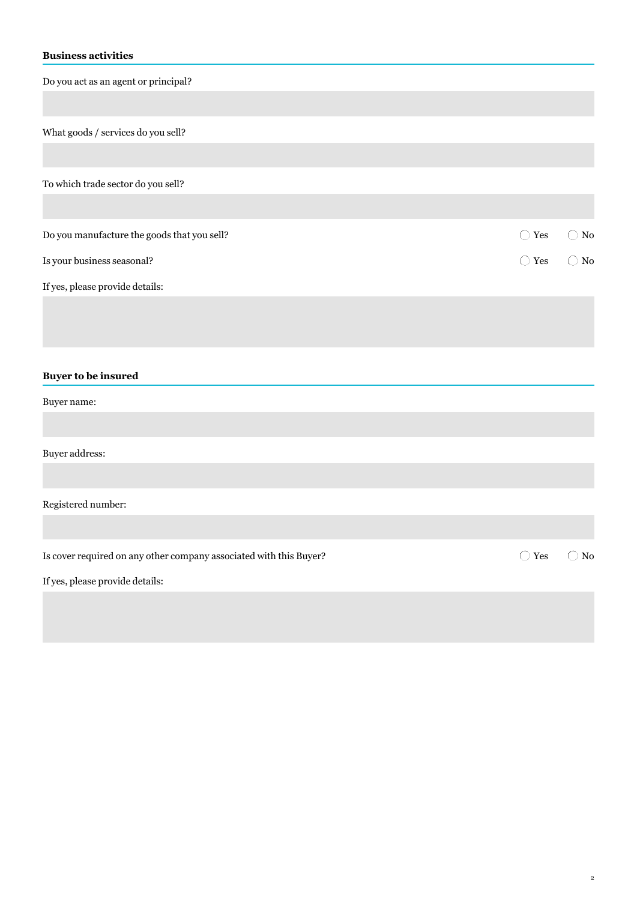#### **Business activities**

Do you act as an agent or principal?

What goods / services do you sell?

To which trade sector do you sell?

| Do you manufacture the goods that you sell? | $\bigcirc$ Yes $\bigcirc$ No |  |
|---------------------------------------------|------------------------------|--|
| Is your business seasonal?                  | $\bigcirc$ Yes $\bigcirc$ No |  |
| If yes, please provide details:             |                              |  |

**Buyer to be insured** 

Buyer name:

Buyer address:

Registered number:

Is cover required on any other company associated with this Buyer?  $\bigcirc$  Yes  $\bigcirc$  No

 $\bigcirc$  Yes

If yes, please provide details: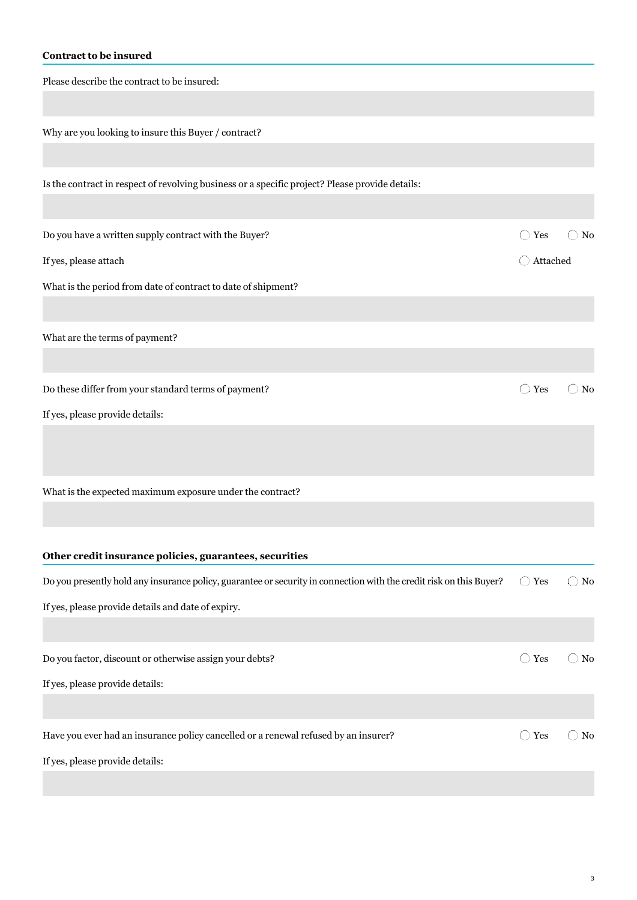#### **Contract to be insured**

Please describe the contract to be insured:

Why are you looking to insure this Buyer / contract?

Is the contract in respect of revolving business or a specific project? Please provide details:

Do you have a written supply contract with the Buyer?  $\bigcirc$  Yes  $\bigcirc$  No

If yes, please attach attached Attached

What is the period from date of contract to date of shipment?

What are the terms of payment?

Do these differ from your standard terms of payment?  $\bigcirc$  Yes  $\bigcirc$  No

If yes, please provide details:

What is the expected maximum exposure under the contract?

| Other credit insurance policies, guarantees, securities                                                             |          |     |
|---------------------------------------------------------------------------------------------------------------------|----------|-----|
| Do you presently hold any insurance policy, guarantee or security in connection with the credit risk on this Buyer? | Yes<br>( | No. |
| If yes, please provide details and date of expiry.                                                                  |          |     |
|                                                                                                                     |          |     |
| Do you factor, discount or otherwise assign your debts?                                                             | Yes      | No. |
| If yes, please provide details:                                                                                     |          |     |
|                                                                                                                     |          |     |
| Have you ever had an insurance policy cancelled or a renewal refused by an insurer?                                 | Yes      | No. |
| If yes, please provide details:                                                                                     |          |     |

 $\bigcirc$  Yes

 $\bigcirc$  Yes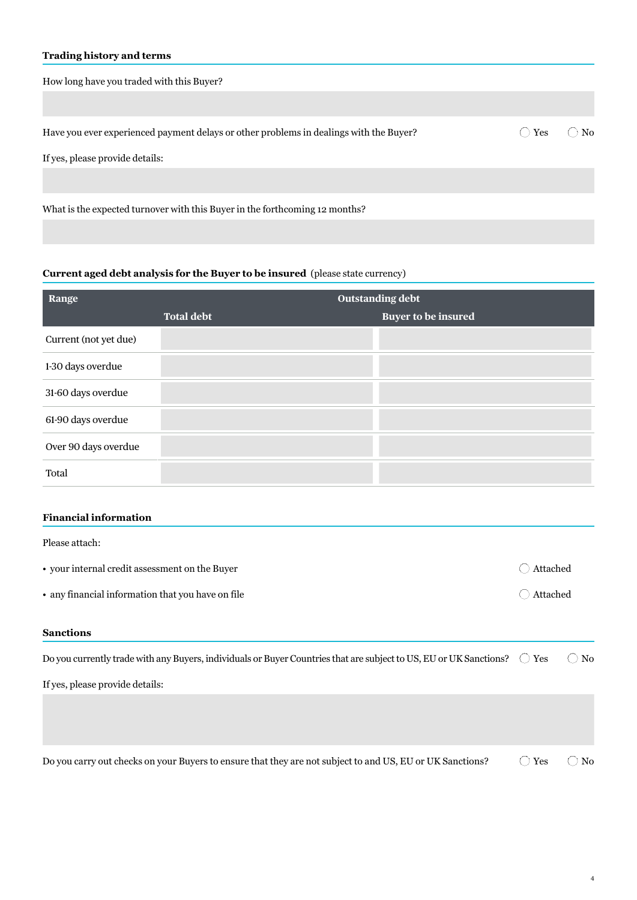#### **Trading history and terms**

| How long have you traded with this Buyer?                                              |     |      |
|----------------------------------------------------------------------------------------|-----|------|
|                                                                                        |     |      |
| Have you ever experienced payment delays or other problems in dealings with the Buyer? | Yes | ) No |
| If yes, please provide details:                                                        |     |      |
|                                                                                        |     |      |
| What is the expected turnover with this Buyer in the forthcoming 12 months?            |     |      |

#### **Current aged debt analysis for the Buyer to be insured** (please state currency)

| Range                 |                   | <b>Outstanding debt</b>    |
|-----------------------|-------------------|----------------------------|
|                       | <b>Total debt</b> | <b>Buyer to be insured</b> |
| Current (not yet due) |                   |                            |
| 1-30 days overdue     |                   |                            |
| 31-60 days overdue    |                   |                            |
| 61-90 days overdue    |                   |                            |
| Over 90 days overdue  |                   |                            |
| Total                 |                   |                            |

#### **Financial information**

| Please attach:                                    |          |
|---------------------------------------------------|----------|
| • your internal credit assessment on the Buyer    | Attached |
| • any financial information that you have on file | Attached |
| <b>Sanctions</b>                                  |          |

| Do you currently trade with any Buyers, individuals or Buyer Countries that are subject to US, EU or UK Sanctions? $\bigcirc$ | Yes | N <sub>0</sub> |
|-------------------------------------------------------------------------------------------------------------------------------|-----|----------------|
| If yes, please provide details:                                                                                               |     |                |
|                                                                                                                               |     |                |
|                                                                                                                               |     |                |
|                                                                                                                               |     |                |

 $\bigcirc$  Yes Do you carry out checks on your Buyers to ensure that they are not subject to and US, EU or UK Sanctions?  $\bigcirc$  Yes  $\bigcirc$  No